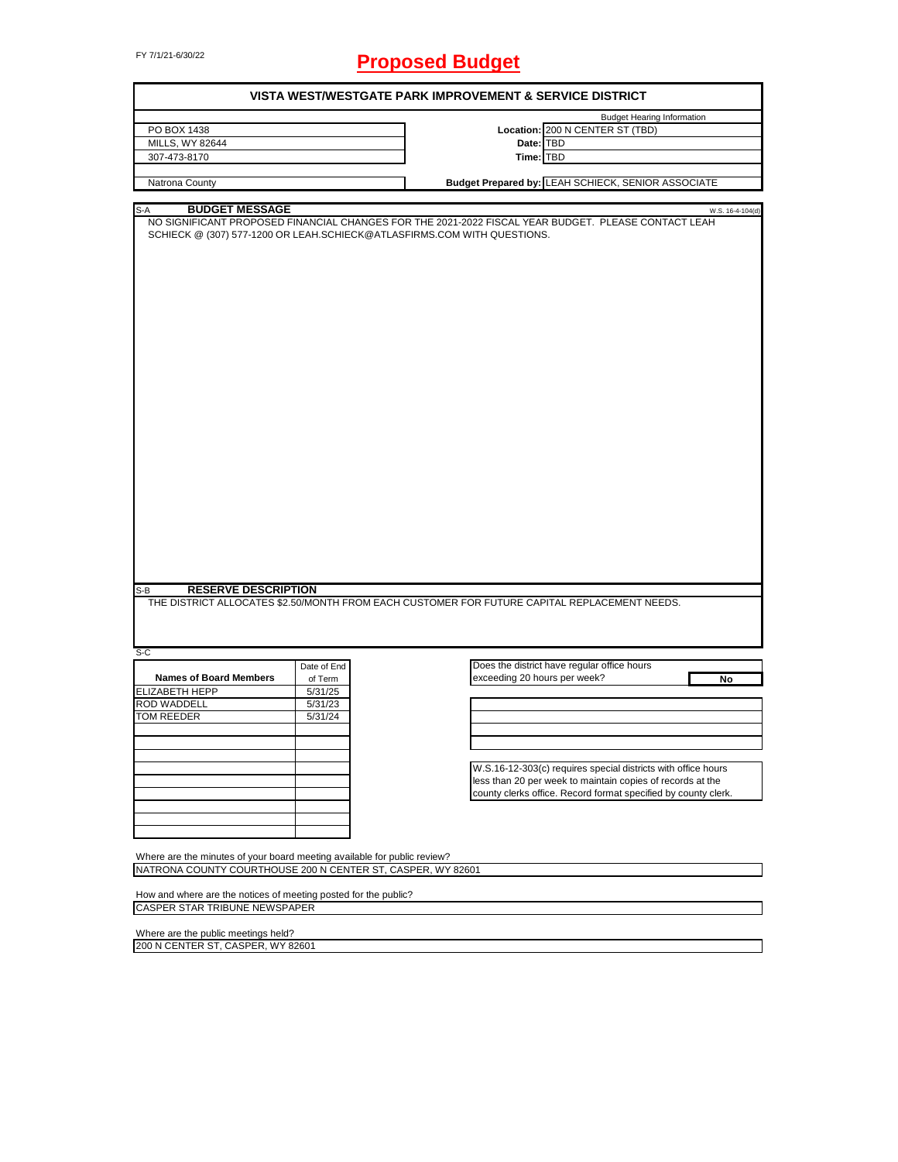# FY 7/1/21-6/30/22 **Proposed Budget**

| VISTA WEST/WESTGATE PARK IMPROVEMENT & SERVICE DISTRICT                                                 |             |                                                                                                                         |  |  |  |
|---------------------------------------------------------------------------------------------------------|-------------|-------------------------------------------------------------------------------------------------------------------------|--|--|--|
|                                                                                                         |             | <b>Budget Hearing Information</b>                                                                                       |  |  |  |
| PO BOX 1438                                                                                             |             | Location: 200 N CENTER ST (TBD)                                                                                         |  |  |  |
| MILLS, WY 82644                                                                                         |             | Date: TBD                                                                                                               |  |  |  |
| 307-473-8170                                                                                            |             | Time: TBD                                                                                                               |  |  |  |
|                                                                                                         |             |                                                                                                                         |  |  |  |
| Natrona County                                                                                          |             | Budget Prepared by: LEAH SCHIECK, SENIOR ASSOCIATE                                                                      |  |  |  |
|                                                                                                         |             |                                                                                                                         |  |  |  |
| <b>BUDGET MESSAGE</b><br>S-A<br>SCHIECK @ (307) 577-1200 OR LEAH.SCHIECK@ATLASFIRMS.COM WITH QUESTIONS. |             | W.S. 16-4-104(d)<br>NO SIGNIFICANT PROPOSED FINANCIAL CHANGES FOR THE 2021-2022 FISCAL YEAR BUDGET. PLEASE CONTACT LEAH |  |  |  |
| <b>RESERVE DESCRIPTION</b><br>S-B                                                                       |             | THE DISTRICT ALLOCATES \$2.50/MONTH FROM EACH CUSTOMER FOR FUTURE CAPITAL REPLACEMENT NEEDS.                            |  |  |  |
|                                                                                                         |             |                                                                                                                         |  |  |  |
| S-C                                                                                                     |             |                                                                                                                         |  |  |  |
|                                                                                                         | Date of End | Does the district have regular office hours                                                                             |  |  |  |
| <b>Names of Board Members</b>                                                                           | of Term     | exceeding 20 hours per week?<br>No                                                                                      |  |  |  |
| ELIZABETH HEPP                                                                                          | 5/31/25     |                                                                                                                         |  |  |  |
| ROD WADDELL                                                                                             | 5/31/23     |                                                                                                                         |  |  |  |
| TOM REEDER                                                                                              | 5/31/24     |                                                                                                                         |  |  |  |
|                                                                                                         |             |                                                                                                                         |  |  |  |
|                                                                                                         |             |                                                                                                                         |  |  |  |
|                                                                                                         |             |                                                                                                                         |  |  |  |
|                                                                                                         |             | W.S.16-12-303(c) requires special districts with office hours                                                           |  |  |  |
|                                                                                                         |             | less than 20 per week to maintain copies of records at the                                                              |  |  |  |
|                                                                                                         |             | county clerks office. Record format specified by county clerk.                                                          |  |  |  |
|                                                                                                         |             |                                                                                                                         |  |  |  |
|                                                                                                         |             |                                                                                                                         |  |  |  |
|                                                                                                         |             |                                                                                                                         |  |  |  |
|                                                                                                         |             |                                                                                                                         |  |  |  |
| Where are the minutes of your board meeting available for public review?                                |             |                                                                                                                         |  |  |  |
| NATRONA COUNTY COURTHOUSE 200 N CENTER ST, CASPER, WY 82601                                             |             |                                                                                                                         |  |  |  |
|                                                                                                         |             |                                                                                                                         |  |  |  |
| How and where are the notices of meeting posted for the public?                                         |             |                                                                                                                         |  |  |  |
| <b>CASPER STAR TRIBUNE NEWSPAPER</b>                                                                    |             |                                                                                                                         |  |  |  |
| Where are the public meetings held?                                                                     |             |                                                                                                                         |  |  |  |
|                                                                                                         |             |                                                                                                                         |  |  |  |

200 N CENTER ST, CASPER, WY 82601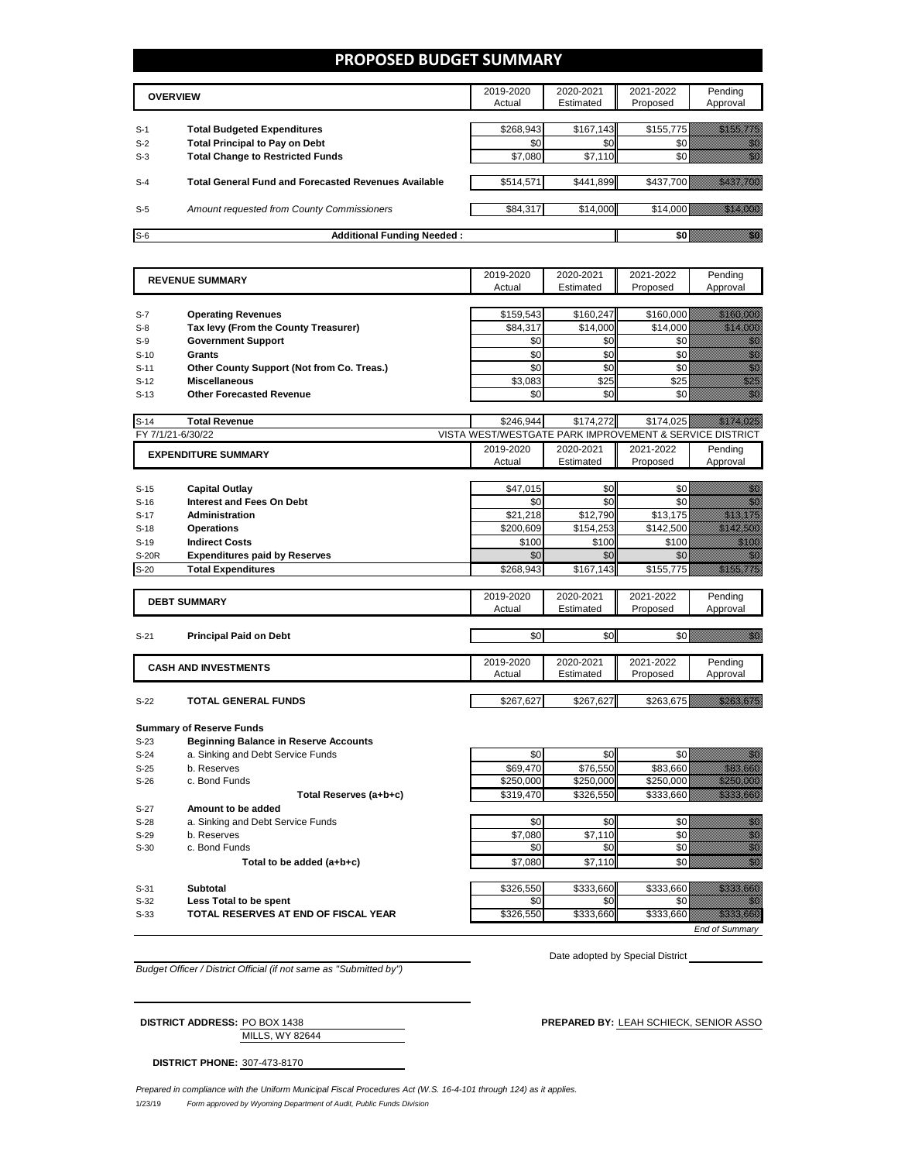#### **PROPOSED BUDGET SUMMARY**

| <b>OVERVIEW</b> |                                                             | 2019-2020<br>Actual | 2020-2021<br>Estimated | 2021-2022<br>Proposed | Pending<br>Approval |
|-----------------|-------------------------------------------------------------|---------------------|------------------------|-----------------------|---------------------|
|                 |                                                             |                     |                        |                       |                     |
| $S-1$           | <b>Total Budgeted Expenditures</b>                          | \$268,943           | \$167,143              | \$155,775             |                     |
| $S-2$           | <b>Total Principal to Pay on Debt</b>                       | \$0                 | \$0                    |                       |                     |
| $S-3$           | <b>Total Change to Restricted Funds</b>                     | \$7,080             | \$7,110                |                       |                     |
|                 |                                                             |                     |                        |                       |                     |
| $S-4$           | <b>Total General Fund and Forecasted Revenues Available</b> | \$514,571           | \$441,899              | \$437.700             |                     |
|                 |                                                             |                     |                        |                       |                     |
| $S-5$           | Amount requested from County Commissioners                  | \$84,317            | \$14,000               | \$14,000              |                     |
|                 |                                                             |                     |                        |                       |                     |
| $S-6$           | <b>Additional Funding Needed:</b>                           |                     |                        |                       |                     |

|        | <b>REVENUE SUMMARY</b>                       | 2019-2020                                               | 2020-2021 | 2021-2022 | Pending                                                                                                                                                                                                                          |
|--------|----------------------------------------------|---------------------------------------------------------|-----------|-----------|----------------------------------------------------------------------------------------------------------------------------------------------------------------------------------------------------------------------------------|
|        | Actual                                       |                                                         | Estimated | Proposed  | Approval                                                                                                                                                                                                                         |
|        |                                              |                                                         |           |           |                                                                                                                                                                                                                                  |
| $S-7$  | <b>Operating Revenues</b>                    | \$159,543                                               | \$160,247 | \$160,000 | <u> Hilling San Sa</u>                                                                                                                                                                                                           |
| $S-8$  | Tax levy (From the County Treasurer)         | \$84,317                                                | \$14,000  | \$14,000  | an dhe an an Aonaichte an Dùbhlachas an Dùbhlachas an Dùbhlachas an Dùbhlachas an Dùbhlachas an Dùbhlachas an                                                                                                                    |
| $S-9$  | <b>Government Support</b>                    | \$0                                                     | \$0       | \$0       |                                                                                                                                                                                                                                  |
| $S-10$ | <b>Grants</b>                                | \$0                                                     | \$0       | \$0       |                                                                                                                                                                                                                                  |
| $S-11$ | Other County Support (Not from Co. Treas.)   | \$0                                                     | \$0       | \$0       |                                                                                                                                                                                                                                  |
| $S-12$ | <b>Miscellaneous</b>                         | \$3.083                                                 | \$25      | \$25      | en de la familie de la familie de la familie de la familie de la familie de la familie de la familie de la fam<br>Constituit de la familie de la familie de la familie de la familie de la familie de la familie de la familie d |
| $S-13$ | <b>Other Forecasted Revenue</b>              | \$0                                                     | \$0       | \$0       | en<br>Vidu                                                                                                                                                                                                                       |
|        |                                              |                                                         |           |           | <u>tilik ka</u>                                                                                                                                                                                                                  |
| $S-14$ | <b>Total Revenue</b>                         | \$246,944                                               | \$174,272 | \$174,025 |                                                                                                                                                                                                                                  |
|        | FY 7/1/21-6/30/22                            | VISTA WEST/WESTGATE PARK IMPROVEMENT & SERVICE DISTRICT |           |           |                                                                                                                                                                                                                                  |
|        | <b>EXPENDITURE SUMMARY</b>                   | 2019-2020                                               | 2020-2021 | 2021-2022 | Pending                                                                                                                                                                                                                          |
|        |                                              | Actual                                                  | Estimated | Proposed  | Approval                                                                                                                                                                                                                         |
| $S-15$ | <b>Capital Outlay</b>                        | \$47,015                                                | \$0       | \$0       | en de la familie de la familie de la familie de la familie de la familie de la familie de la familie de la fam<br>Estat de la familie de la familie de la familie de la familie de la familie de la familie de la familie de la  |
|        |                                              |                                                         | \$0       | \$0       | en de la filosofia<br>Album                                                                                                                                                                                                      |
| $S-16$ | <b>Interest and Fees On Debt</b>             | \$0                                                     |           |           |                                                                                                                                                                                                                                  |
| $S-17$ | <b>Administration</b>                        | \$21,218                                                | \$12,790  | \$13,175  | <u> Martin Ba</u>                                                                                                                                                                                                                |
| $S-18$ | <b>Operations</b>                            | \$200,609                                               | \$154,253 | \$142,500 | <u> Kalendari Se</u>                                                                                                                                                                                                             |
| $S-19$ | <b>Indirect Costs</b>                        | \$100                                                   | \$100     | \$100     | <u> Millett</u>                                                                                                                                                                                                                  |
| S-20R  | <b>Expenditures paid by Reserves</b>         | \$0                                                     | \$0       | \$0       | ni dhe                                                                                                                                                                                                                           |
| $S-20$ | <b>Total Expenditures</b>                    | \$268,943                                               | \$167,143 | \$155,775 | <u>Maritim Sa</u>                                                                                                                                                                                                                |
|        |                                              |                                                         |           |           |                                                                                                                                                                                                                                  |
|        | <b>DEBT SUMMARY</b>                          | 2019-2020                                               | 2020-2021 | 2021-2022 | Pending                                                                                                                                                                                                                          |
|        |                                              | Actual                                                  | Estimated | Proposed  | Approval                                                                                                                                                                                                                         |
| $S-21$ | <b>Principal Paid on Debt</b>                | \$0                                                     | \$0       | \$0       | <u>Mille</u>                                                                                                                                                                                                                     |
|        |                                              |                                                         |           |           |                                                                                                                                                                                                                                  |
|        | <b>CASH AND INVESTMENTS</b>                  | 2019-2020                                               | 2020-2021 | 2021-2022 | Pending                                                                                                                                                                                                                          |
|        |                                              | Actual                                                  | Estimated | Proposed  | Approval                                                                                                                                                                                                                         |
|        |                                              |                                                         |           |           |                                                                                                                                                                                                                                  |
| $S-22$ | <b>TOTAL GENERAL FUNDS</b>                   | \$267,627                                               | \$267,627 | \$263,675 | <u>tik kalendari sebagai per</u>                                                                                                                                                                                                 |
|        |                                              |                                                         |           |           |                                                                                                                                                                                                                                  |
|        | <b>Summary of Reserve Funds</b>              |                                                         |           |           |                                                                                                                                                                                                                                  |
| $S-23$ | <b>Beginning Balance in Reserve Accounts</b> |                                                         |           |           |                                                                                                                                                                                                                                  |
| $S-24$ | a. Sinking and Debt Service Funds            | \$0                                                     | \$0       | \$0       | an dhe                                                                                                                                                                                                                           |
| $S-25$ | b. Reserves                                  | \$69,470                                                | \$76,550  | \$83,660  | <u> Kiliko S</u>                                                                                                                                                                                                                 |
| $S-26$ | c. Bond Funds                                | \$250.000                                               | \$250,000 | \$250,000 | <u> Marko (</u>                                                                                                                                                                                                                  |
|        | Total Reserves (a+b+c)                       | \$319,470                                               | \$326,550 | \$333,660 |                                                                                                                                                                                                                                  |
| $S-27$ | Amount to be added                           |                                                         |           |           |                                                                                                                                                                                                                                  |
| $S-28$ | a. Sinking and Debt Service Funds            | \$0                                                     | \$0       | \$0       | en de la familie de la familie de la familie de la familie de la familie de la familie de la familie de la fam<br>Concelho de la familie de la familie de la familie de la familie de la familie de la familie de la familie de  |
| $S-29$ | b. Reserves                                  | \$7,080                                                 | \$7,110   | \$0       | e de la composición de la composición de la composición de la composición de la composición de la composición<br>Composición de la composición de la composición de la composición de la composición de la composición de la co  |
| $S-30$ | c. Bond Funds                                | \$0                                                     | \$0       | \$0       |                                                                                                                                                                                                                                  |
|        | Total to be added (a+b+c)                    | \$7.080                                                 | \$7,110   | \$0       | en de la filòlogía<br>Alba                                                                                                                                                                                                       |
|        |                                              |                                                         |           |           |                                                                                                                                                                                                                                  |

S-31 **Subtotal** \$326,550 \$333,660 \$333,660 S-32 **Less Total to be spent** \$0 \$0 \$0 \$0

**S-33 TOTAL RESERVES AT END OF FISCAL YEAR 1988 1206,550** \$333,660 \$333,660 \$333,660 \$333,660 \$333,660 \$333,660 \$333,660 \$333,660 \$ *End of Summary*

*Budget Officer / District Official (if not same as "Submitted by")*

Date adopted by Special District

MILLS, WY 82644 **DISTRICT ADDRESS:** PO BOX 1438 **PREPARED BY:** LEAH SCHIECK, SENIOR ASSO

**DISTRICT PHONE:** 307-473-8170

1/23/19 *Form approved by Wyoming Department of Audit, Public Funds Division Prepared in compliance with the Uniform Municipal Fiscal Procedures Act (W.S. 16-4-101 through 124) as it applies.*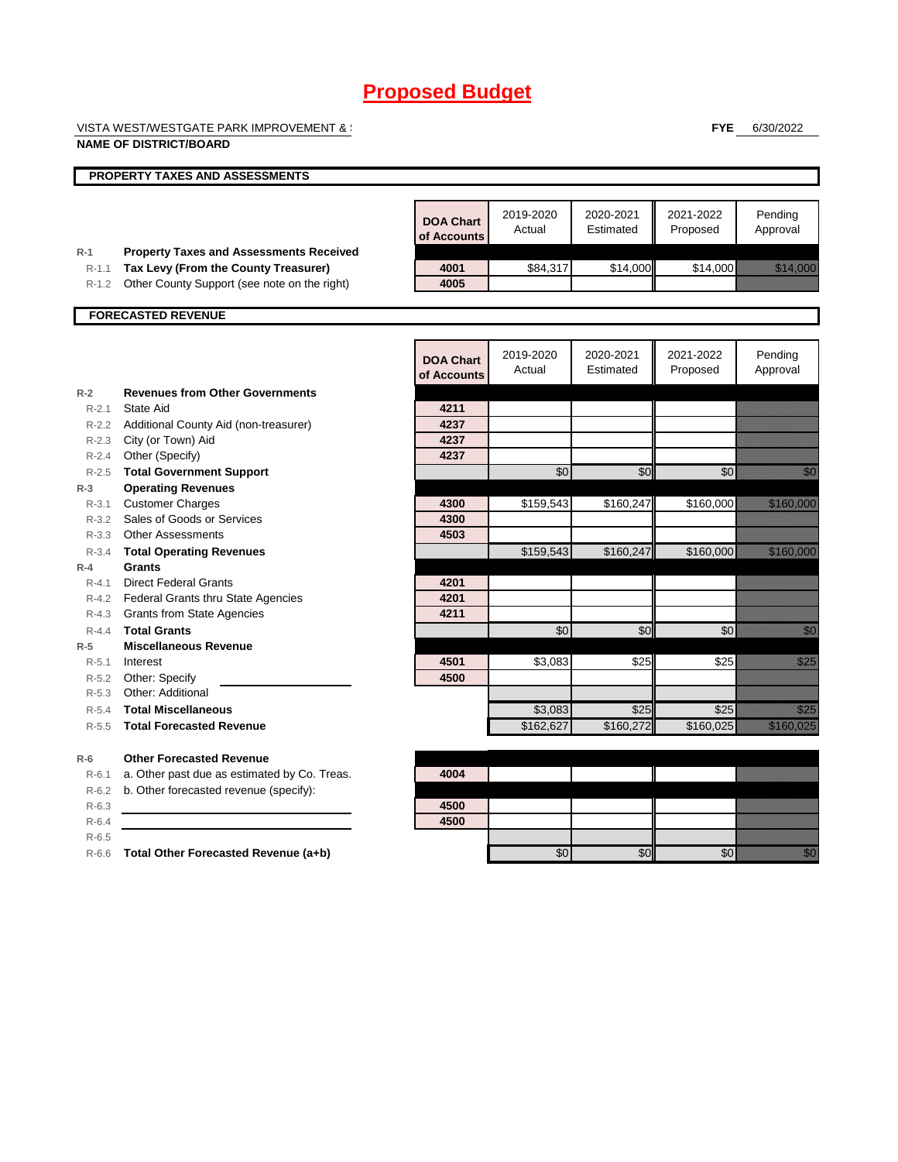VISTA WEST/WESTGATE PARK IMPROVEMENT & SERVICE DISTRICT DISTRICT DISTRICT ON  $\mathbb{R}^n$ 

**NAME OF DISTRICT/BOARD**

**FYE** 6/30/2022

|                    | PROPERTY TAXES AND ASSESSMENTS                                                         |                                 |                     |                        |                       |                                                                                                                                                                                                                                  |
|--------------------|----------------------------------------------------------------------------------------|---------------------------------|---------------------|------------------------|-----------------------|----------------------------------------------------------------------------------------------------------------------------------------------------------------------------------------------------------------------------------|
|                    |                                                                                        |                                 |                     |                        |                       |                                                                                                                                                                                                                                  |
|                    |                                                                                        | <b>DOA Chart</b><br>of Accounts | 2019-2020<br>Actual | 2020-2021<br>Estimated | 2021-2022<br>Proposed | Pending<br>Approval                                                                                                                                                                                                              |
| $R-1$<br>$R-1.1$   | <b>Property Taxes and Assessments Received</b><br>Tax Levy (From the County Treasurer) | 4001                            | \$84,317            | \$14,000               | \$14,000              | <u> Martin Sara</u>                                                                                                                                                                                                              |
| $R-1.2$            | Other County Support (see note on the right)                                           | 4005                            |                     |                        |                       |                                                                                                                                                                                                                                  |
|                    |                                                                                        |                                 |                     |                        |                       |                                                                                                                                                                                                                                  |
|                    | <b>FORECASTED REVENUE</b>                                                              |                                 |                     |                        |                       |                                                                                                                                                                                                                                  |
|                    |                                                                                        |                                 |                     |                        |                       |                                                                                                                                                                                                                                  |
|                    |                                                                                        | <b>DOA Chart</b>                | 2019-2020<br>Actual | 2020-2021<br>Estimated | 2021-2022<br>Proposed | Pending<br>Approval                                                                                                                                                                                                              |
|                    |                                                                                        | of Accounts                     |                     |                        |                       |                                                                                                                                                                                                                                  |
| $R-2$              | <b>Revenues from Other Governments</b>                                                 |                                 |                     |                        |                       |                                                                                                                                                                                                                                  |
| $R - 2.1$          | State Aid                                                                              | 4211                            |                     |                        |                       |                                                                                                                                                                                                                                  |
|                    | R-2.2 Additional County Aid (non-treasurer)                                            | 4237                            |                     |                        |                       |                                                                                                                                                                                                                                  |
|                    | R-2.3 City (or Town) Aid                                                               | 4237                            |                     |                        |                       |                                                                                                                                                                                                                                  |
| $R-2.4$            | Other (Specify)                                                                        | 4237                            |                     |                        |                       |                                                                                                                                                                                                                                  |
| $R-2.5$            | <b>Total Government Support</b>                                                        |                                 | \$0                 | \$0                    | \$0                   | e di Sala                                                                                                                                                                                                                        |
| $R-3$              | <b>Operating Revenues</b>                                                              |                                 |                     |                        |                       |                                                                                                                                                                                                                                  |
| $R - 3.1$          | <b>Customer Charges</b>                                                                | 4300                            | \$159,543           | \$160,247              | \$160,000             | <u>Marakatif</u>                                                                                                                                                                                                                 |
|                    | R-3.2 Sales of Goods or Services                                                       | 4300                            |                     |                        |                       |                                                                                                                                                                                                                                  |
|                    | R-3.3 Other Assessments                                                                | 4503                            |                     |                        |                       |                                                                                                                                                                                                                                  |
| $R - 3.4$          | <b>Total Operating Revenues</b>                                                        |                                 | \$159,543           | \$160,247              | \$160,000             | <u>e komunisti po</u>                                                                                                                                                                                                            |
| $R-4$              | Grants                                                                                 |                                 |                     |                        |                       |                                                                                                                                                                                                                                  |
| $R - 4.1$          | <b>Direct Federal Grants</b>                                                           | 4201                            |                     |                        |                       |                                                                                                                                                                                                                                  |
|                    | R-4.2 Federal Grants thru State Agencies                                               | 4201<br>4211                    |                     |                        |                       |                                                                                                                                                                                                                                  |
|                    | R-4.3 Grants from State Agencies<br><b>Total Grants</b>                                |                                 |                     |                        |                       |                                                                                                                                                                                                                                  |
| $R - 4.4$          | <b>Miscellaneous Revenue</b>                                                           |                                 | \$0                 | \$0                    | \$0                   | en de la familie de la familie de la familie de la familie de la familie de la familie de la familie de la fam<br>Constituit de la familie de la familie de la familie de la familie de la familie de la familie de la familie d |
| $R-5$<br>$R - 5.1$ | Interest                                                                               | 4501                            | \$3,083             | \$25                   | \$25                  | en de la familie de la familie de la familie de la familie de la familie de la familie de la familie de la fam<br>Establecidades de la familie de la familie de la familie de la familie de la familie de la familie de la famil |
| $R-5.2$            | Other: Specify                                                                         | 4500                            |                     |                        |                       |                                                                                                                                                                                                                                  |
| $R-5.3$            | Other: Additional                                                                      |                                 |                     |                        |                       |                                                                                                                                                                                                                                  |
| $R - 5.4$          | <b>Total Miscellaneous</b>                                                             |                                 | \$3,083             | \$25                   | \$25                  | <b>Maritim</b>                                                                                                                                                                                                                   |
| $R - 5.5$          | <b>Total Forecasted Revenue</b>                                                        |                                 | \$162.627           | \$160.272              | \$160.025             | <u>The Company of the Company of the Company of the Company of the Company of the Company of the Company of the </u>                                                                                                             |
|                    |                                                                                        |                                 |                     |                        |                       |                                                                                                                                                                                                                                  |
| $R-6$              | <b>Other Forecasted Revenue</b>                                                        |                                 |                     |                        |                       |                                                                                                                                                                                                                                  |
| $R - 6.1$          | a. Other past due as estimated by Co. Treas.                                           | 4004                            |                     |                        |                       |                                                                                                                                                                                                                                  |
| $R-6.2$            | b. Other forecasted revenue (specify):                                                 |                                 |                     |                        |                       |                                                                                                                                                                                                                                  |
| $R-6.3$            |                                                                                        | 4500                            |                     |                        |                       |                                                                                                                                                                                                                                  |
| $R-6.4$            |                                                                                        | 4500                            |                     |                        |                       |                                                                                                                                                                                                                                  |
| $R-6.5$            |                                                                                        |                                 |                     |                        |                       |                                                                                                                                                                                                                                  |
| $R-6.6$            | Total Other Forecasted Revenue (a+b)                                                   |                                 | \$0                 | \$0                    | \$0                   | en de la familie de la familie de la familie de la familie de la familie de la familie de la familie de la fa<br>Constitution de la familie de la familie de la familie de la familie de la familie de la familie de la familie  |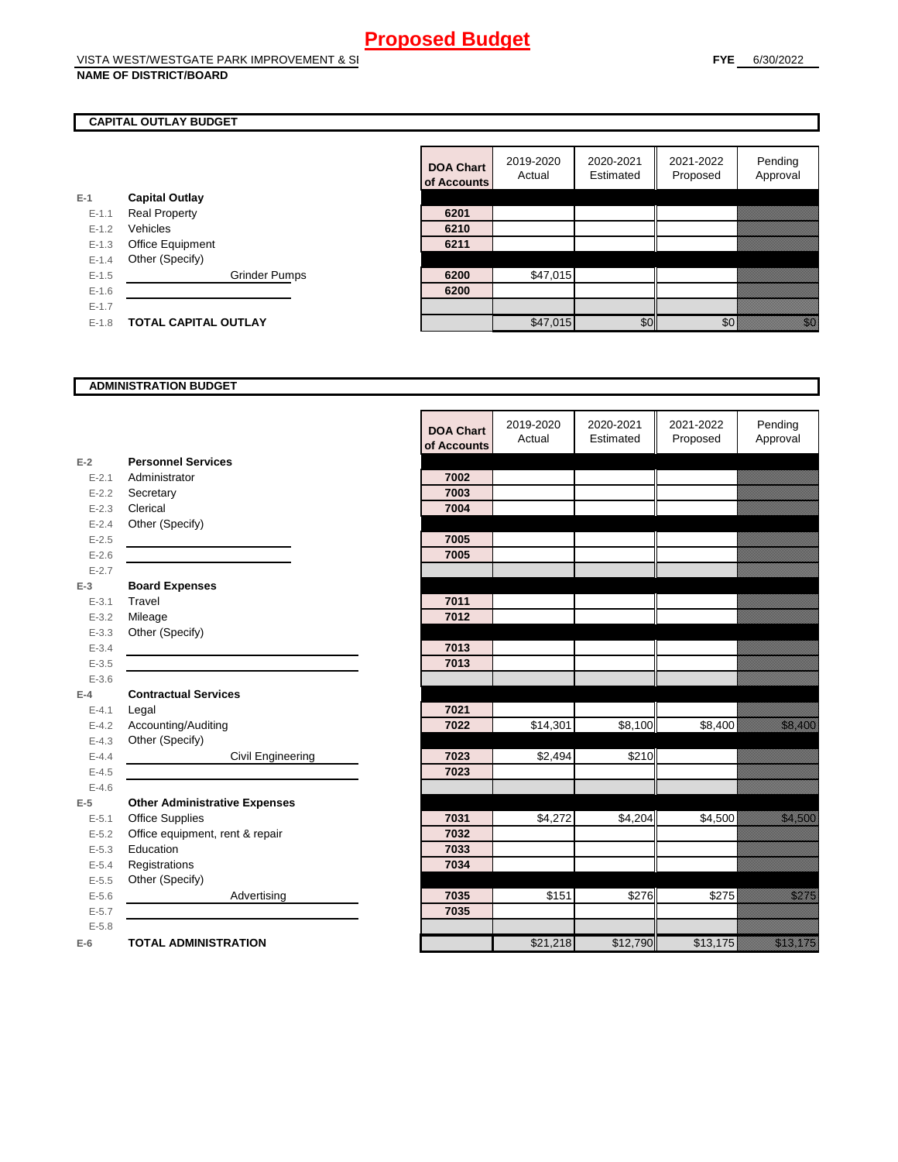#### **NAME OF DISTRICT/BOARD**

#### **CAPITAL OUTLAY BUDGET**

|           |                             | <b>ULACCOUNTS</b> |          |
|-----------|-----------------------------|-------------------|----------|
| $E-1$     | <b>Capital Outlay</b>       |                   |          |
| $E - 1.1$ | <b>Real Property</b>        | 6201              |          |
| $E - 1.2$ | Vehicles                    | 6210              |          |
| $E-1.3$   | <b>Office Equipment</b>     | 6211              |          |
| $E - 1.4$ | Other (Specify)             |                   |          |
| $E - 1.5$ | <b>Grinder Pumps</b>        | 6200              | \$47,015 |
| $E - 1.6$ |                             | 6200              |          |
| $E - 1.7$ |                             |                   |          |
| $E-1.8$   | <b>TOTAL CAPITAL OUTLAY</b> |                   | \$47.015 |

|           |                             | <b>DOA Chart</b><br>of Accounts | 2019-2020<br>Actual | 2020-2021<br>Estimated | 2021-2022<br>Proposed | Pending<br>Approval                                                                                                                                                                                                             |
|-----------|-----------------------------|---------------------------------|---------------------|------------------------|-----------------------|---------------------------------------------------------------------------------------------------------------------------------------------------------------------------------------------------------------------------------|
|           | <b>Capital Outlay</b>       |                                 |                     |                        |                       |                                                                                                                                                                                                                                 |
| $E - 1.1$ | <b>Real Property</b>        | 6201                            |                     |                        |                       |                                                                                                                                                                                                                                 |
| $E - 1.2$ | Vehicles                    | 6210                            |                     |                        |                       |                                                                                                                                                                                                                                 |
| $E-1.3$   | Office Equipment            | 6211                            |                     |                        |                       |                                                                                                                                                                                                                                 |
| $E-1.4$   | Other (Specify)             |                                 |                     |                        |                       |                                                                                                                                                                                                                                 |
| $E-1.5$   | <b>Grinder Pumps</b>        | 6200                            | \$47,015            |                        |                       |                                                                                                                                                                                                                                 |
| $E - 1.6$ |                             | 6200                            |                     |                        |                       |                                                                                                                                                                                                                                 |
| $E - 1.7$ |                             |                                 |                     |                        |                       |                                                                                                                                                                                                                                 |
| $E-1.8$   | <b>TOTAL CAPITAL OUTLAY</b> |                                 | \$47,015            | \$0                    | \$0                   | en de la familie de la familie de la familie de la familie de la familie de la familie de la familie de la fa<br>Constitution de la familie de la familie de la familie de la familie de la familie de la familie de la familie |

#### **ADMINISTRATION BUDGET**

|           |                                      | <b>DOA Chart</b><br>of Accounts | 2019-2020<br>Actual | 2020-2021<br>Estimated | 2021-2022<br>Proposed | Pending<br>Approval                                                                                                                                                                                                             |
|-----------|--------------------------------------|---------------------------------|---------------------|------------------------|-----------------------|---------------------------------------------------------------------------------------------------------------------------------------------------------------------------------------------------------------------------------|
| $E-2$     | <b>Personnel Services</b>            |                                 |                     |                        |                       |                                                                                                                                                                                                                                 |
| $E - 2.1$ | Administrator                        | 7002                            |                     |                        |                       |                                                                                                                                                                                                                                 |
| $E - 2.2$ | Secretary                            | 7003                            |                     |                        |                       |                                                                                                                                                                                                                                 |
| $E - 2.3$ | Clerical                             | 7004                            |                     |                        |                       |                                                                                                                                                                                                                                 |
| $E - 2.4$ | Other (Specify)                      |                                 |                     |                        |                       |                                                                                                                                                                                                                                 |
| $E-2.5$   |                                      | 7005                            |                     |                        |                       |                                                                                                                                                                                                                                 |
| $E-2.6$   |                                      | 7005                            |                     |                        |                       |                                                                                                                                                                                                                                 |
| $E - 2.7$ |                                      |                                 |                     |                        |                       |                                                                                                                                                                                                                                 |
| $E-3$     | <b>Board Expenses</b>                |                                 |                     |                        |                       |                                                                                                                                                                                                                                 |
| $E - 3.1$ | Travel                               | 7011                            |                     |                        |                       |                                                                                                                                                                                                                                 |
| $E - 3.2$ | Mileage                              | 7012                            |                     |                        |                       |                                                                                                                                                                                                                                 |
| $E - 3.3$ | Other (Specify)                      |                                 |                     |                        |                       |                                                                                                                                                                                                                                 |
| $E - 3.4$ |                                      | 7013                            |                     |                        |                       |                                                                                                                                                                                                                                 |
| $E - 3.5$ |                                      | 7013                            |                     |                        |                       |                                                                                                                                                                                                                                 |
| $E - 3.6$ |                                      |                                 |                     |                        |                       |                                                                                                                                                                                                                                 |
| $E-4$     | <b>Contractual Services</b>          |                                 |                     |                        |                       |                                                                                                                                                                                                                                 |
| $E - 4.1$ | Legal                                | 7021                            |                     |                        |                       |                                                                                                                                                                                                                                 |
| $E - 4.2$ | Accounting/Auditing                  | 7022                            | \$14,301            | \$8,100                | \$8,400               | <u>tik alaman da</u>                                                                                                                                                                                                            |
| $E - 4.3$ | Other (Specify)                      |                                 |                     |                        |                       |                                                                                                                                                                                                                                 |
| $E-4.4$   | Civil Engineering                    | 7023                            | \$2,494             | \$210                  |                       |                                                                                                                                                                                                                                 |
| $E - 4.5$ |                                      | 7023                            |                     |                        |                       |                                                                                                                                                                                                                                 |
| $E - 4.6$ |                                      |                                 |                     |                        |                       |                                                                                                                                                                                                                                 |
| $E-5$     | <b>Other Administrative Expenses</b> |                                 |                     |                        |                       |                                                                                                                                                                                                                                 |
| $E - 5.1$ | <b>Office Supplies</b>               | 7031                            | \$4,272             | \$4,204                | \$4,500               | <u>ti ka</u>                                                                                                                                                                                                                    |
| $E - 5.2$ | Office equipment, rent & repair      | 7032                            |                     |                        |                       |                                                                                                                                                                                                                                 |
| $E - 5.3$ | Education                            | 7033                            |                     |                        |                       |                                                                                                                                                                                                                                 |
| $E - 5.4$ | Registrations                        | 7034                            |                     |                        |                       |                                                                                                                                                                                                                                 |
| $E-5.5$   | Other (Specify)                      |                                 |                     |                        |                       |                                                                                                                                                                                                                                 |
| $E-5.6$   | Advertising                          | 7035                            | \$151               | \$276                  | \$275                 | <u>i karatif</u>                                                                                                                                                                                                                |
| $E - 5.7$ |                                      | 7035                            |                     |                        |                       |                                                                                                                                                                                                                                 |
| $E - 5.8$ |                                      |                                 |                     |                        |                       |                                                                                                                                                                                                                                 |
| $E-6$     | <b>TOTAL ADMINISTRATION</b>          |                                 | \$21,218            | \$12,790               | \$13,175              | a katalunggal katalunggal katalunggal katalunggal katalunggal katalunggal katalunggal katalunggal katalunggal<br>Katalunggal katalunggal katalunggal katalunggal katalunggal katalunggal katalunggal katalunggal katalunggal ka |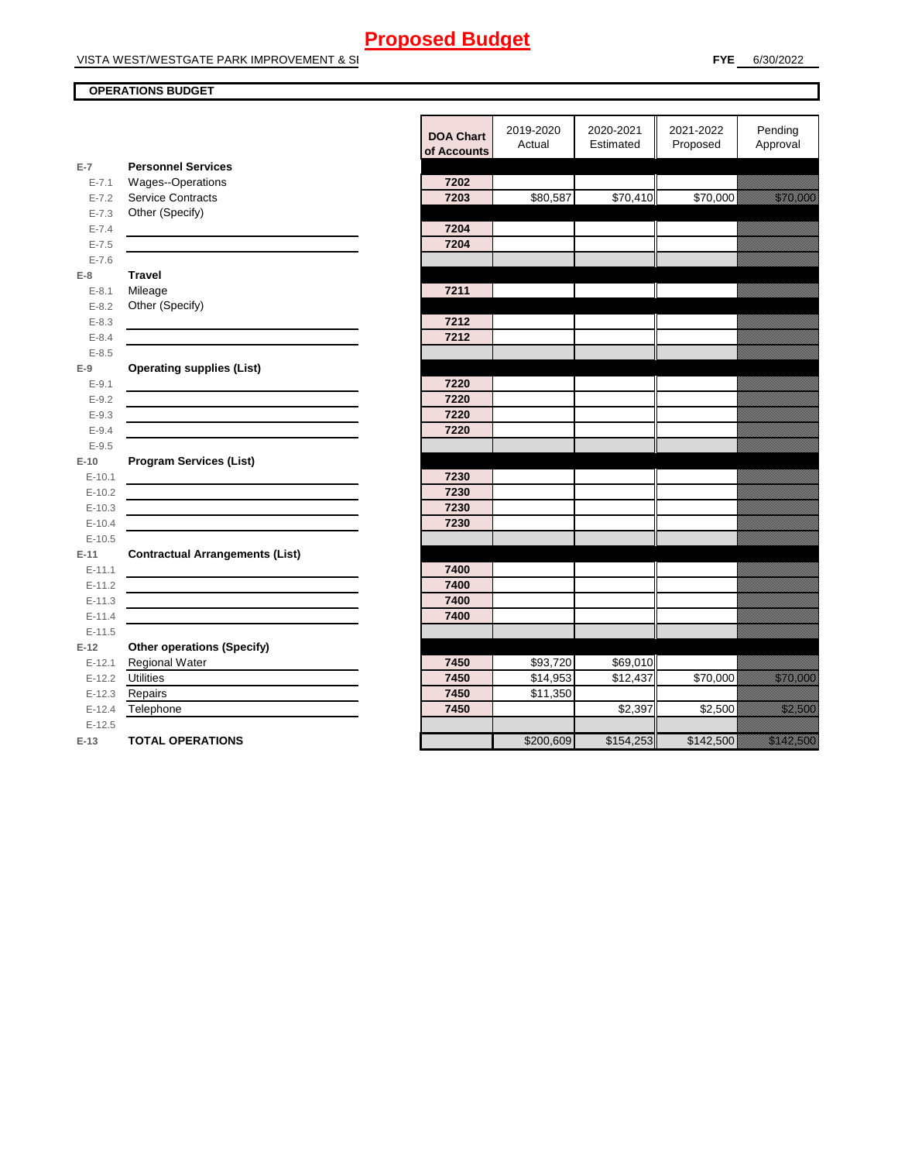#### **OPERATIONS BUDGET**

|                      |                                                                                                                     | <b>DOA Chart</b><br>of Accounts | 2019-2020<br>Actual | 2020-2021<br>Estimated | 2021-2022<br>Proposed | Pending<br>Approval     |
|----------------------|---------------------------------------------------------------------------------------------------------------------|---------------------------------|---------------------|------------------------|-----------------------|-------------------------|
| $E-7$                | <b>Personnel Services</b>                                                                                           |                                 |                     |                        |                       |                         |
| $E - 7.1$            | Wages--Operations                                                                                                   | 7202                            |                     |                        |                       |                         |
| $E - 7.2$            | <b>Service Contracts</b>                                                                                            | 7203                            | \$80,587            | \$70,410               | \$70,000              | <u> Karlin Maria Sa</u> |
| $E - 7.3$            | Other (Specify)                                                                                                     |                                 |                     |                        |                       |                         |
| $E - 7.4$            |                                                                                                                     | 7204                            |                     |                        |                       |                         |
| $E - 7.5$            |                                                                                                                     | 7204                            |                     |                        |                       |                         |
| $E - 7.6$            |                                                                                                                     |                                 |                     |                        |                       |                         |
| $E-8$                | <b>Travel</b>                                                                                                       |                                 |                     |                        |                       |                         |
| $E - 8.1$            | Mileage                                                                                                             | 7211                            |                     |                        |                       |                         |
| $E - 8.2$            | Other (Specify)                                                                                                     |                                 |                     |                        |                       |                         |
| $E - 8.3$            |                                                                                                                     | 7212                            |                     |                        |                       |                         |
| $E - 8.4$            |                                                                                                                     | 7212                            |                     |                        |                       |                         |
| $E - 8.5$            |                                                                                                                     |                                 |                     |                        |                       |                         |
| $E-9$                | <b>Operating supplies (List)</b>                                                                                    |                                 |                     |                        |                       |                         |
| $E-9.1$              |                                                                                                                     | 7220                            |                     |                        |                       |                         |
| $E-9.2$              | <u> 1989 - Johann Stoff, Amerikaansk politiker (* 1908)</u>                                                         | 7220                            |                     |                        |                       |                         |
| $E - 9.3$            | <u> 1989 - Johann Barbara, martin amerikan basar dan basa dan basa dan basa dan basa dan basa dan basa dan basa</u> | 7220                            |                     |                        |                       |                         |
| $E - 9.4$            |                                                                                                                     | 7220                            |                     |                        |                       |                         |
| $E - 9.5$            |                                                                                                                     |                                 |                     |                        |                       |                         |
| $E-10$               | <b>Program Services (List)</b>                                                                                      |                                 |                     |                        |                       |                         |
| $E-10.1$             |                                                                                                                     | 7230                            |                     |                        |                       |                         |
| $E-10.2$             |                                                                                                                     | 7230                            |                     |                        |                       |                         |
| $E-10.3$             |                                                                                                                     | 7230                            |                     |                        |                       |                         |
| $E-10.4$             |                                                                                                                     | 7230                            |                     |                        |                       |                         |
| $E-10.5$             |                                                                                                                     |                                 |                     |                        |                       |                         |
| $E-11$               | <b>Contractual Arrangements (List)</b>                                                                              |                                 |                     |                        |                       |                         |
| $E-11.1$             |                                                                                                                     | 7400                            |                     |                        |                       |                         |
| $E-11.2$             | <u> 1989 - Johann Stoff, Amerikaansk politiker (* 1908)</u>                                                         | 7400                            |                     |                        |                       |                         |
| $E-11.3$             |                                                                                                                     | 7400<br>7400                    |                     |                        |                       |                         |
| $E-11.4$             |                                                                                                                     |                                 |                     |                        |                       |                         |
| $E-11.5$             |                                                                                                                     |                                 |                     |                        |                       |                         |
| $E-12$               | <b>Other operations (Specify)</b>                                                                                   | 7450                            | \$93,720            |                        |                       |                         |
| $E-12.1$<br>$E-12.2$ | Regional Water<br><b>Utilities</b>                                                                                  | 7450                            | \$14,953            | \$69,010<br>\$12,437   | \$70,000              | <u>tik kara</u>         |
| $E-12.3$             | Repairs                                                                                                             | 7450                            | \$11,350            |                        |                       |                         |
| $E-12.4$             | Telephone                                                                                                           | 7450                            |                     | \$2,397                | \$2,500               | <u> Harrison (</u>      |
| $E-12.5$             |                                                                                                                     |                                 |                     |                        |                       |                         |
| $E-13$               | <b>TOTAL OPERATIONS</b>                                                                                             |                                 | \$200,609           | \$154,253              | \$142,500             | <u> Mariji (</u>        |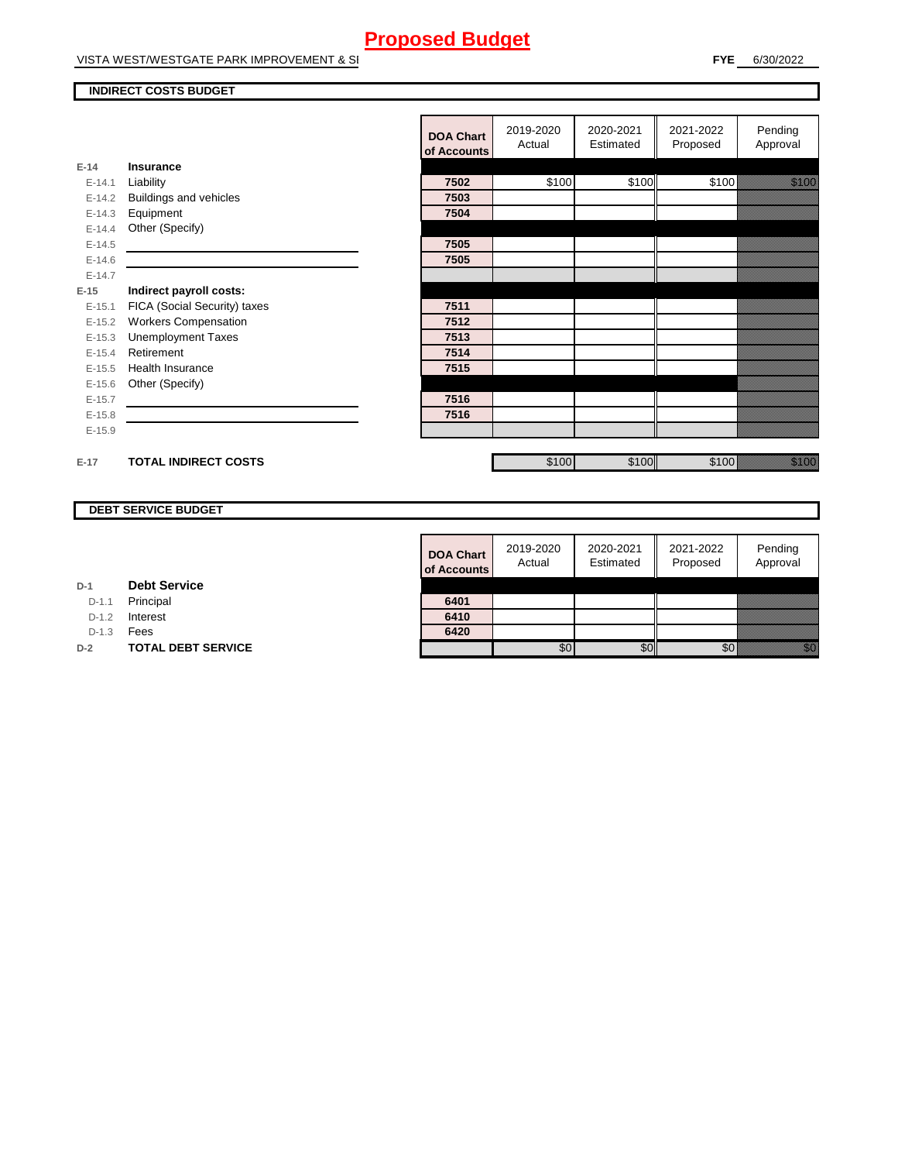VISTA WEST/WESTGATE PARK IMPROVEMENT & SI

#### **INDIRECT COSTS BUDGET**

|          |                              | <b>DOA Chart</b><br>of Accounts | 2019-2020<br>Actual | 2020-2021<br>Estimated | 2021-2022<br>Proposed | Pending<br>Approval                                                                                                     |
|----------|------------------------------|---------------------------------|---------------------|------------------------|-----------------------|-------------------------------------------------------------------------------------------------------------------------|
| $E-14$   | <b>Insurance</b>             |                                 |                     |                        |                       |                                                                                                                         |
| $E-14.1$ | Liability                    | 7502                            | \$100               | \$100                  | \$100                 | <u>ti ka</u>                                                                                                            |
| $E-14.2$ | Buildings and vehicles       | 7503                            |                     |                        |                       |                                                                                                                         |
| $E-14.3$ | Equipment                    | 7504                            |                     |                        |                       |                                                                                                                         |
| $E-14.4$ | Other (Specify)              |                                 |                     |                        |                       |                                                                                                                         |
| $E-14.5$ |                              | 7505                            |                     |                        |                       |                                                                                                                         |
| $E-14.6$ |                              | 7505                            |                     |                        |                       |                                                                                                                         |
| $E-14.7$ |                              |                                 |                     |                        |                       |                                                                                                                         |
| $E-15$   | Indirect payroll costs:      |                                 |                     |                        |                       |                                                                                                                         |
| $E-15.1$ | FICA (Social Security) taxes | 7511                            |                     |                        |                       |                                                                                                                         |
| $E-15.2$ | <b>Workers Compensation</b>  | 7512                            |                     |                        |                       |                                                                                                                         |
| $E-15.3$ | <b>Unemployment Taxes</b>    | 7513                            |                     |                        |                       |                                                                                                                         |
| $E-15.4$ | Retirement                   | 7514                            |                     |                        |                       |                                                                                                                         |
| $E-15.5$ | Health Insurance             | 7515                            |                     |                        |                       |                                                                                                                         |
| $E-15.6$ | Other (Specify)              |                                 |                     |                        |                       |                                                                                                                         |
| $E-15.7$ |                              | 7516                            |                     |                        |                       |                                                                                                                         |
| $E-15.8$ |                              | 7516                            |                     |                        |                       |                                                                                                                         |
| $E-15.9$ |                              |                                 |                     |                        |                       |                                                                                                                         |
|          |                              |                                 |                     |                        |                       |                                                                                                                         |
| $E-17$   | <b>TOTAL INDIRECT COSTS</b>  |                                 | \$100               | \$100                  | \$100                 | e de la componenta de la componenta de la componenta de la componenta de la componenta de la componenta de la<br>España |

#### **DEBT SERVICE BUDGET**

| 6420                            |                     |                        |                       |                     |
|---------------------------------|---------------------|------------------------|-----------------------|---------------------|
| 6410                            |                     |                        |                       |                     |
| 6401                            |                     |                        |                       |                     |
|                                 |                     |                        |                       |                     |
| <b>DOA Chart</b><br>of Accounts | 2019-2020<br>Actual | 2020-2021<br>Estimated | 2021-2022<br>Proposed | Pending<br>Approval |

**D-1 Debt Service**

D-1.1 Principal

D-1.2 **Interest** 

D-1.3 **Fees** 

**D-2 TOTAL DEBT SERVICE**